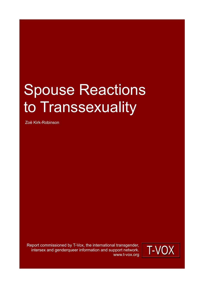# Spouse Reactions to Transsexuality

Zoë Kirk-Robinson

Report commissioned by T-Vox, the international transgender, intersex and genderqueer information and support network. www.t-vox.org

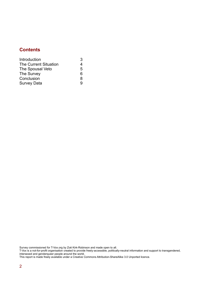### **Contents**

| Introduction                 | 3 |
|------------------------------|---|
| <b>The Current Situation</b> | 4 |
| The Spousal Veto             | 5 |
| The Survey                   | 6 |
| Conclusion                   | 8 |
| <b>Survey Data</b>           | g |

Survey commissioned for T-Vox.org by Zoë Kirk-Robinson and made open to all.

T-Vox is a not-for-profit organisation created to provide freely-accessible, politically-neutral information and support to transgendered, intersexed and genderqueer people around the world.

This report is made freely available under a Creative Commons Attribution-ShareAlike 3.0 Unported licence.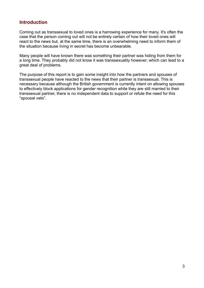#### **Introduction**

Coming out as transsexual to loved ones is a harrowing experience for many. It's often the case that the person coming out will not be entirely certain of how their loved ones will react to the news but, at the same time, there is an overwhelming need to inform them of the situation because living in secret has become unbearable.

Many people will have known there was something their partner was hiding from them for a long time. They probably did not know it was transsexuality however; which can lead to a great deal of problems.

The purpose of this report is to gain some insight into how the partners and spouses of transsexual people have reacted to the news that their partner is transsexual. This is necessary because although the British government is currently intent on allowing spouses to effectively block applications for gender recognition while they are still married to their transsexual partner, there is no independent data to support or refute the need for this "spousal veto".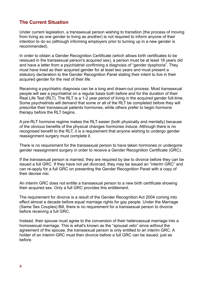#### **The Current Situation**

Under current legislation, a transsexual person wishing to transition (the process of moving from living as one gender to living as another) is not required to inform anyone of their intention to do so (although informing employers prior to turning up in a new gender is recommended).

In order to obtain a Gender Recognition Certificate (which allows birth certificates to be reissued in the transsexual person's acquired sex), a person must be at least 18 years old and have a letter from a psychiatrist confirming a diagnosis of "gender dysphoria". They must have lived as their acquired gender for at least two years and must present a statutory declaration to the Gender Recognition Panel stating their intent to live in their acquired gender for the rest of their life.

Receiving a psychiatric diagnosis can be a long and drawn-out process. Most transsexual people will see a psychiatrist on a regular basis both before and for the duration of their Real Life Test (RLT). The RLT is a 1-2 year period of living in the acquired gender full-time. Some psychiatrists will demand that some or all of the RLT be completed before they will prescribe their transsexual patients hormones, while others prefer to begin hormone therapy before the RLT begins.

A pre-RLT hormone regime makes the RLT easier (both physically and mentally) because of the obvious benefits of the physical changes hormones induce. Although there is no recognised benefit to the RLT, it is a requirement that anyone wishing to undergo gender reassignment surgery must complete it.

There is no requirement for the transsexual person to have taken hormones or undergone gender reassignment surgery in order to receive a Gender Recognition Certificate (GRC).

If the transsexual person is married, they are required by law to divorce before they can be issued a full GRC. If they have not yet divorced, they may be issued an "interim GRC" and can re-apply for a full GRC on presenting the Gender Recognition Panel with a copy of their decree nisi.

An interim GRC does not entitle a transsexual person to a new birth certificate showing their acquired sex. Only a full GRC provides this entitlement.

The requirement for divorce is a result of the Gender Recognition Act 2004 coming into effect almost a decade before equal marriage rights for gay people. Under the Marriage (Same Sex Couples) Bill, there is no requirement for a transsexual person to divorce before receiving a full GRC.

Instead, their spouse must agree to the conversion of their heterosexual marriage into a homosexual marriage. This is what's known as the "spousal veto" since without the agreement of the spouse, the transsexual person is only entitled to an interim GRC. A holder of an interim GRC must then divorce before a full GRC can be issued, just as before.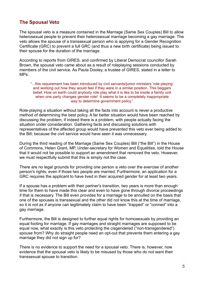### **The Spousal Veto**

The spousal veto is a measure contained in the Marriage (Same Sex Couples) Bill to allow heterosexual people to prevent their heterosexual marriage becoming a gay marriage. The veto allows the spouse of a transsexual person who is applying for a Gender Recognition Certificate (GRC) to prevent a full GRC (and thus a new birth certificate) being issued to their spouse for the duration of the marriage.

According to reports from GIRES, and confirmed by Liberal Democrat councillor Sarah Brown, the spousal veto came about as a result of roleplaying sessions conducted by members of the civil service. As Paula Dooley, a trustee of GIRES, stated in a letter to MPs:

"...this requirement has been introduced by civil servants/junior ministers 'role playing' and working out how they would feel if they were in a similar position. This beggars belief. How on earth could anybody role play what it is like to be inside a family unit when one party changes gender role! It seems to be a completely inappropriate way to determine government policy."

Role-playing a situation without taking all the facts into account is never a productive method of determining the best policy. A far better situation would have been reached by discussing the problem, if indeed there is a problem, with people actually facing the situation under consideration. Gathering facts and discussing solutions with representatives of the affected group would have prevented this veto ever being added to the Bill; because the civil service would have seen it was unnecessary.

During the third reading of the Marriage (Same Sex Couples) Bill ("the Bill") in the House of Commons, Helen Grant, MP, Under-secretary for Women and Equalities, told the House that it would not be possible to support an amendment that removed the veto. However, we must respectfully submit that this is simply not the case.

There are no legal grounds for providing one person a veto over the exercise of another person's rights; even if those two people are married. Furthermore, an application for a GRC requires the applicant to have lived in their acquired gender for at least two years.

If a spouse has a problem with their partner's transition, two years is more than enough time for them to have made this clear and even to have gone through divorce proceedings if that is necessary. The Bill even provides for a marriage to be annulled on the basis that one of the spouses is transsexual and the other did not know this at the time of marriage, so it is not as if anyone can legitimately claim to have been "trapped" or "conned" into a gay marriage.

Furthermore, the Bill is designed to further equal rights for homosexuals by providing an equal footing for marriage. If gay marriages and straight marriages are supposed to be equal now, what exactly is this veto protecting the cisgendered ("non-transgendered") spouse from? Why do straight people need an opt-out that prevents them entering a gay marriage they did not sign up for?

There is no evidence to support the need for a spousal veto. There is, however, now evidence that the spousal veto is likely to be misused by those who do not want their transsexual spouse to transition.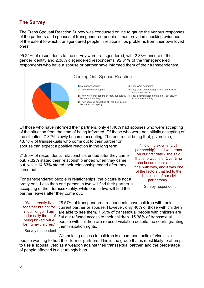### **The Survey**

The Trans Spousal Reaction Survey was conducted online to gauge the various responses of the partners and spouses of transgendered people. It has provided shocking evidence of the extent to which transgendered people in relationships problems from their own loved ones.

95.24% of respondents to the survey were transgendered, with 2.38% unsure of their gender identity and 2.38% cisgendered respondents. 92.31% of the transgendered respondents who have a spouse or partner have informed them of their transgenderism.



Of those who have informed their partners, only 41.46% had spouses who were accepting of the situation from the time of being informed. Of those who were not initially accepting of the situation, 7.32% slowly became accepting. The end result being that, given time, 48.78% of transsexuals who come out to their partner or

spouse can expect a positive reaction in the long term.

21.95% of respondents' relationships ended after they came out. 7.32% stated their relationship ended when they came out, while 14.63% stated their relationship ended after they came out.

For transgendered people in relationships, the picture is not a pretty one. Less than one person in two will find their partner is accepting of their transsexuality, while one in five will find their partner leaves after they come out.

"I told my ex-wife (civil partnership) that I was trans on our first date - she said that she was fine. Over time she became less and less 'fine' with with, and it was one of the factors that led to the dissolution of our civil partnership."

- Survey respondent

"We currently live together but not for much longer. I am under daily threat of being kicked out & losing my children."

28.57% of transgendered respondents have children with their current partner or spouse. However, only 46% of those with children are able to see them. 7.69% of transsexual people with children are flat out refused access to their children. 15.38% of transsexual people with children are refused visitation despite the courts granting them visitation rights.

- Survey respondent

Withholding access to children is a common tactic of vindictive people wanting to hurt their former partners. This is the group that is most likely to attempt to use a spousal veto as a weapon against their transsexual partner, and the percentage of people affected is disturbingly high.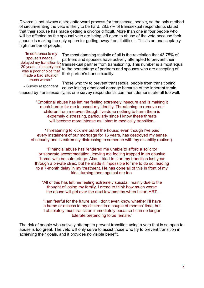Divorce is not always a straightforward process for transsexual people, so the only method of circumventing the veto is likely to be hard. 28.57% of transsexual respondents stated that their spouse has made getting a divorce difficult. More than one in four people who will be affected by the spousal veto are being left open to abuse of the veto because their spouse is making the only option for getting away from it difficult. This is an unacceptably high number of people.

"In deference to my spouse's needs, I delayed my transition by 20 years. ultimately that was a poor choice that made a bad situation much worse."

The most damning statistic of all is the revelation that 43.75% of partners and spouses have actively attempted to prevent their transsexual partner from transitioning. This number is almost equal to the percentage of partners and spouses who are accepting of their partner's transsexuality.

Those who try to prevent transsexual people from transitioning cause lasting emotional damage because of the inherent strain caused by transsexuality, as one survey respondent's comment demonstrate all too well. - Survey respondent

"Emotional abuse has left me feeling extremely insecure and is making it

much harder for me to assert my identity. Threatening to remove our children from me even though I've done nothing to harm them is extremely distressing, particularly since I know these threats will become more intense as I start to medically transition.

"Threatening to kick me out of the house, even though I've paid every instalment of our mortgage for 15 years, has destroyed my sense of security and is extremely distressing to someone with my disability (autism).

"Financial abuse has rendered me unable to afford a solicitor or separate accommodation, leaving me feeling trapped in an abusive 'home' with no safe refuge. Also, I tried to start my transition last year through a private clinic, but he made it impossible for me to do so, leading to a 7-month delay in my treatment. He has done all of this in front of my kids, turning them against me too.

"All of this has left me feeling extremely suicidal, mainly due to the thought of losing my family. I dread to think how much worse the abuse will get over the next few months when I start HRT.

"I am fearful for the future and I don't even know whether I'll have a home or access to my children in a couple of months' time, but I absolutely must transition immediately because I can no longer tolerate pretending to be female."

The risk of people who actively attempt to prevent transition using a veto that is so open to abuse is too great. The veto will only serve to assist those who try to prevent transition in achieving their goals, and it provides no visible benefit.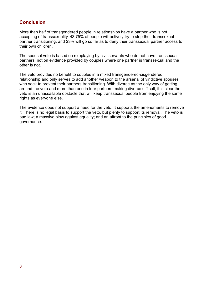#### **Conclusion**

More than half of transgendered people in relationships have a partner who is not accepting of transsexuality. 43.75% of people will actively try to stop their transsexual partner transitioning, and 23% will go so far as to deny their transsexual partner access to their own children.

The spousal veto is based on roleplaying by civil servants who do not have transsexual partners, not on evidence provided by couples where one partner is transsexual and the other is not.

The veto provides no benefit to couples in a mixed transgendered-cisgendered relationship and only serves to add another weapon to the arsenal of vindictive spouses who seek to prevent their partners transitioning. With divorce as the only way of getting around the veto and more than one in four partners making divorce difficult, it is clear the veto is an unassailable obstacle that will keep transsexual people from enjoying the same rights as everyone else.

The evidence does not support a need for the veto. It supports the amendments to remove it. There is no legal basis to support the veto, but plenty to support its removal. The veto is bad law; a massive blow against equality; and an affront to the principles of good governance.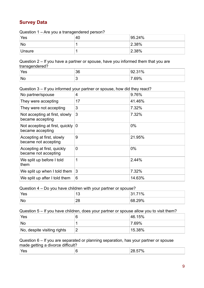## **Survey Data**

Question 1 – Are you a transgendered person?

| Yes       | 40 | 95.24%    |
|-----------|----|-----------|
| <b>No</b> |    | $ 2.38\%$ |
| Unsure    |    | $ 2.38\%$ |

Question 2 – If you have a partner or spouse, have you informed them that you are transgendered?

| Yes       | 36 | 92.31%<br>ъ. |
|-----------|----|--------------|
| <b>No</b> |    | 7.69%        |

Question 3 – If you informed your partner or spouse, how did they react?

| No partner/spouse                                   | 4  | 9.76%  |
|-----------------------------------------------------|----|--------|
| They were accepting                                 | 17 | 41.46% |
| They were not accepting                             | 3  | 7.32%  |
| Not accepting at first, slowly<br>became accepting  | 3  | 7.32%  |
| Not accepting at first, quickly<br>became accepting | 0  | $0\%$  |
| Accepting at first, slowly<br>became not accepting  | 9  | 21.95% |
| Accepting at first, quickly<br>became not accepting | 0  | $0\%$  |
| We split up before I told<br>them                   | 1  | 2.44%  |
| We split up when I told them                        | 3  | 7.32%  |
| We split up after I told them                       | 6  | 14.63% |

Question 4 – Do you have children with your partner or spouse?

| Yes | $\sim$<br>טו | 71%<br>31<br>ັ<br>. |
|-----|--------------|---------------------|
| ∣No | ററ<br>∠o     | 68.29%              |

Question 5 – If you have children, does your partner or spouse allow you to visit them?

| Yes                         | 46.15% |
|-----------------------------|--------|
| <b>No</b>                   | ⊺7.69% |
| No, despite visiting rights | 15.38% |

#### Question 6 – If you are separated or planning separation, has your partner or spouse made getting a divorce difficult?

| Yes |  | 28.57% |
|-----|--|--------|
|-----|--|--------|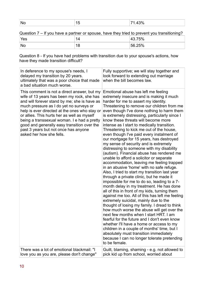| <b>No</b><br>70<br>È<br>$\sim$ |
|--------------------------------|
|--------------------------------|

| Question 7 – If you have a partner or spouse, have they tried to prevent you transitioning? |        |
|---------------------------------------------------------------------------------------------|--------|
| Yes                                                                                         | 43.75% |

|  | 'Nc | . .<br>-<br>-<br>È<br>_ | $-\circ$<br>$-$<br>∽.<br>7 U<br>$\sim$ |
|--|-----|-------------------------|----------------------------------------|
|--|-----|-------------------------|----------------------------------------|

Question 8 - If you have had problems with transition due to your spouse's actions, how have they made transition difficult?

| In deference to my spouse's needs, I<br>delayed my transition by 20 years.<br>ultimately that was a poor choice that made<br>a bad situation much worse.                                                                                                                                                                                                                                                                                               | Fully supportive; we will stay together and<br>look forward to extending out marriage<br>when the bill becomes law.                                                                                                                                                                                                                                                                                                                                                                                                                                                                                                                                                                                                                                                                                                                                                                                                                                                                                                                                                                                                                                                                                                                                                                                                                                                                                                                                                                                           |
|--------------------------------------------------------------------------------------------------------------------------------------------------------------------------------------------------------------------------------------------------------------------------------------------------------------------------------------------------------------------------------------------------------------------------------------------------------|---------------------------------------------------------------------------------------------------------------------------------------------------------------------------------------------------------------------------------------------------------------------------------------------------------------------------------------------------------------------------------------------------------------------------------------------------------------------------------------------------------------------------------------------------------------------------------------------------------------------------------------------------------------------------------------------------------------------------------------------------------------------------------------------------------------------------------------------------------------------------------------------------------------------------------------------------------------------------------------------------------------------------------------------------------------------------------------------------------------------------------------------------------------------------------------------------------------------------------------------------------------------------------------------------------------------------------------------------------------------------------------------------------------------------------------------------------------------------------------------------------------|
| This comment is not a direct answer, but my<br>wife of 13 years has been my rock, she has<br>and will forever stand by me; she is have as<br>much pressure as I do yet no surveys or<br>help is ever directed at the ones who stay or<br>or allies. This hurts her as well as myself<br>being a transsexual woman. I e had a pretty<br>good and generally easy transition over the<br>past 3 years but not once has anyone<br>asked her how she fells. | Emotional abuse has left me feeling<br>extremely insecure and is making it much<br>harder for me to assert my identity.<br>Threatening to remove our children from me<br>even though I've done nothing to harm them<br>is extremely distressing, particularly since I<br>know these threats will become more<br>intense as I start to medically transition.<br>Threatening to kick me out of the house,<br>even though I've paid every instalment of<br>our mortgage for 15 years, has destroyed<br>my sense of security and is extremely<br>distressing to someone with my disability<br>(autism). Financial abuse has rendered me<br>unable to afford a solicitor or separate<br>accommodation, leaving me feeling trapped<br>in an abusive 'home' with no safe refuge.<br>Also, I tried to start my transition last year<br>through a private clinic, but he made it<br>impossible for me to do so, leading to a 7-<br>month delay in my treatment. He has done<br>all of this in front of my kids, turning them<br>against me too. All of this has left me feeling<br>extremely suicidal, mainly due to the<br>thought of losing my family. I dread to think<br>how much worse the abuse will get over the<br>next few months when I start HRT. I am<br>fearful for the future and I don't even know<br>whether I'll have a home or access to my<br>children in a couple of months' time, but I<br>absolutely must transition immediately<br>because I can no longer tolerate pretending<br>to be female. |
| There was a lot of emotional blackmail: "I<br>love you as you are, please don't change"                                                                                                                                                                                                                                                                                                                                                                | Guilt, blaming, shaming - e.g. not allowed to<br>pick kid up from school, worried about                                                                                                                                                                                                                                                                                                                                                                                                                                                                                                                                                                                                                                                                                                                                                                                                                                                                                                                                                                                                                                                                                                                                                                                                                                                                                                                                                                                                                       |